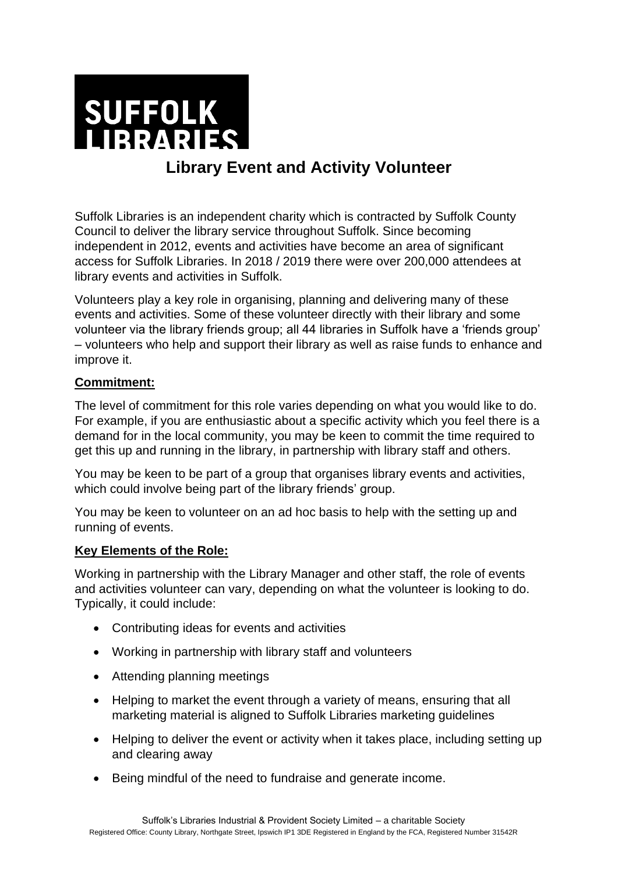

# **Library Event and Activity Volunteer**

Suffolk Libraries is an independent charity which is contracted by Suffolk County Council to deliver the library service throughout Suffolk. Since becoming independent in 2012, events and activities have become an area of significant access for Suffolk Libraries. In 2018 / 2019 there were over 200,000 attendees at library events and activities in Suffolk.

Volunteers play a key role in organising, planning and delivering many of these events and activities. Some of these volunteer directly with their library and some volunteer via the library friends group; all 44 libraries in Suffolk have a 'friends group' – volunteers who help and support their library as well as raise funds to enhance and improve it.

### **Commitment:**

The level of commitment for this role varies depending on what you would like to do. For example, if you are enthusiastic about a specific activity which you feel there is a demand for in the local community, you may be keen to commit the time required to get this up and running in the library, in partnership with library staff and others.

You may be keen to be part of a group that organises library events and activities, which could involve being part of the library friends' group.

You may be keen to volunteer on an ad hoc basis to help with the setting up and running of events.

#### **Key Elements of the Role:**

Working in partnership with the Library Manager and other staff, the role of events and activities volunteer can vary, depending on what the volunteer is looking to do. Typically, it could include:

- Contributing ideas for events and activities
- Working in partnership with library staff and volunteers
- Attending planning meetings
- Helping to market the event through a variety of means, ensuring that all marketing material is aligned to Suffolk Libraries marketing guidelines
- Helping to deliver the event or activity when it takes place, including setting up and clearing away
- Being mindful of the need to fundraise and generate income.